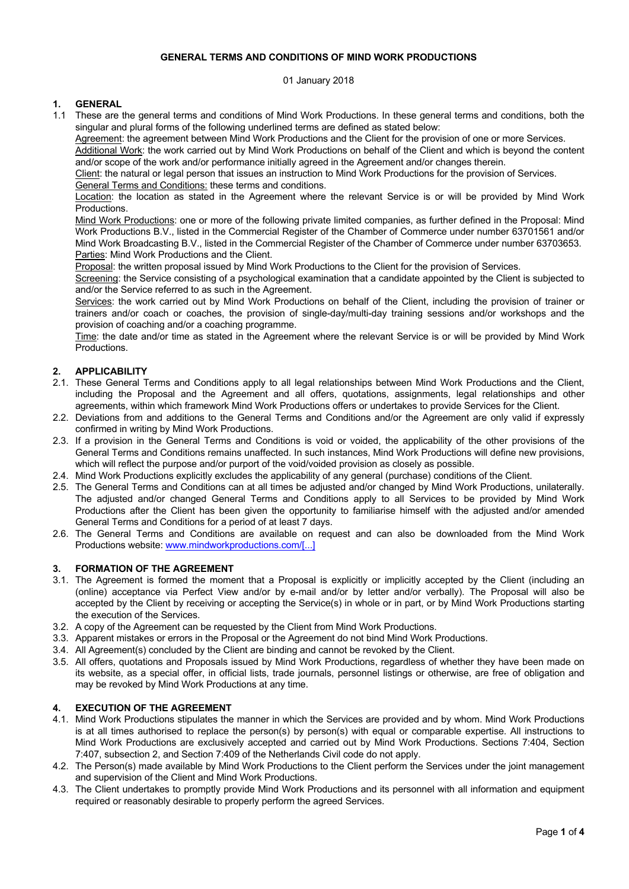## **GENERAL TERMS AND CONDITIONS OF MIND WORK PRODUCTIONS**

01 January 2018

# **1. GENERAL**

1.1 These are the general terms and conditions of Mind Work Productions. In these general terms and conditions, both the singular and plural forms of the following underlined terms are defined as stated below:

Agreement: the agreement between Mind Work Productions and the Client for the provision of one or more Services. Additional Work: the work carried out by Mind Work Productions on behalf of the Client and which is beyond the content

and/or scope of the work and/or performance initially agreed in the Agreement and/or changes therein.

Client: the natural or legal person that issues an instruction to Mind Work Productions for the provision of Services.

General Terms and Conditions: these terms and conditions.

Location: the location as stated in the Agreement where the relevant Service is or will be provided by Mind Work Productions.

Mind Work Productions: one or more of the following private limited companies, as further defined in the Proposal: Mind Work Productions B.V., listed in the Commercial Register of the Chamber of Commerce under number 63701561 and/or Mind Work Broadcasting B.V., listed in the Commercial Register of the Chamber of Commerce under number 63703653. Parties: Mind Work Productions and the Client.

Proposal: the written proposal issued by Mind Work Productions to the Client for the provision of Services.

Screening: the Service consisting of a psychological examination that a candidate appointed by the Client is subjected to and/or the Service referred to as such in the Agreement.

Services: the work carried out by Mind Work Productions on behalf of the Client, including the provision of trainer or trainers and/or coach or coaches, the provision of single-day/multi-day training sessions and/or workshops and the provision of coaching and/or a coaching programme.

Time: the date and/or time as stated in the Agreement where the relevant Service is or will be provided by Mind Work Productions.

# **2. APPLICABILITY**

- 2.1. These General Terms and Conditions apply to all legal relationships between Mind Work Productions and the Client, including the Proposal and the Agreement and all offers, quotations, assignments, legal relationships and other agreements, within which framework Mind Work Productions offers or undertakes to provide Services for the Client.
- 2.2. Deviations from and additions to the General Terms and Conditions and/or the Agreement are only valid if expressly confirmed in writing by Mind Work Productions.
- 2.3. If a provision in the General Terms and Conditions is void or voided, the applicability of the other provisions of the General Terms and Conditions remains unaffected. In such instances, Mind Work Productions will define new provisions, which will reflect the purpose and/or purport of the void/voided provision as closely as possible.
- 2.4. Mind Work Productions explicitly excludes the applicability of any general (purchase) conditions of the Client.
- 2.5. The General Terms and Conditions can at all times be adjusted and/or changed by Mind Work Productions, unilaterally. The adjusted and/or changed General Terms and Conditions apply to all Services to be provided by Mind Work Productions after the Client has been given the opportunity to familiarise himself with the adjusted and/or amended General Terms and Conditions for a period of at least 7 days.
- 2.6. The General Terms and Conditions are available on request and can also be downloaded from the Mind Work Productions website: www.mindworkproductions.com/[...]

## **3. FORMATION OF THE AGREEMENT**

- 3.1. The Agreement is formed the moment that a Proposal is explicitly or implicitly accepted by the Client (including an (online) acceptance via Perfect View and/or by e-mail and/or by letter and/or verbally). The Proposal will also be accepted by the Client by receiving or accepting the Service(s) in whole or in part, or by Mind Work Productions starting the execution of the Services.
- 3.2. A copy of the Agreement can be requested by the Client from Mind Work Productions.
- 3.3. Apparent mistakes or errors in the Proposal or the Agreement do not bind Mind Work Productions.
- 3.4. All Agreement(s) concluded by the Client are binding and cannot be revoked by the Client.
- 3.5. All offers, quotations and Proposals issued by Mind Work Productions, regardless of whether they have been made on its website, as a special offer, in official lists, trade journals, personnel listings or otherwise, are free of obligation and may be revoked by Mind Work Productions at any time.

## **4. EXECUTION OF THE AGREEMENT**

- 4.1. Mind Work Productions stipulates the manner in which the Services are provided and by whom. Mind Work Productions is at all times authorised to replace the person(s) by person(s) with equal or comparable expertise. All instructions to Mind Work Productions are exclusively accepted and carried out by Mind Work Productions. Sections 7:404, Section 7:407, subsection 2, and Section 7:409 of the Netherlands Civil code do not apply.
- 4.2. The Person(s) made available by Mind Work Productions to the Client perform the Services under the joint management and supervision of the Client and Mind Work Productions.
- 4.3. The Client undertakes to promptly provide Mind Work Productions and its personnel with all information and equipment required or reasonably desirable to properly perform the agreed Services.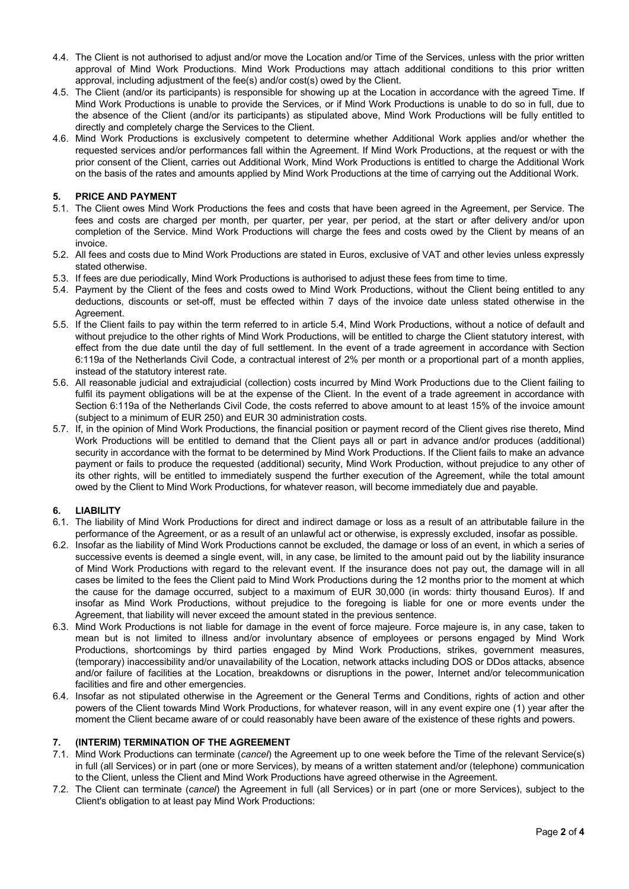- 4.4. The Client is not authorised to adjust and/or move the Location and/or Time of the Services, unless with the prior written approval of Mind Work Productions. Mind Work Productions may attach additional conditions to this prior written approval, including adjustment of the fee(s) and/or cost(s) owed by the Client.
- 4.5. The Client (and/or its participants) is responsible for showing up at the Location in accordance with the agreed Time. If Mind Work Productions is unable to provide the Services, or if Mind Work Productions is unable to do so in full, due to the absence of the Client (and/or its participants) as stipulated above, Mind Work Productions will be fully entitled to directly and completely charge the Services to the Client.
- 4.6. Mind Work Productions is exclusively competent to determine whether Additional Work applies and/or whether the requested services and/or performances fall within the Agreement. If Mind Work Productions, at the request or with the prior consent of the Client, carries out Additional Work, Mind Work Productions is entitled to charge the Additional Work on the basis of the rates and amounts applied by Mind Work Productions at the time of carrying out the Additional Work.

## **5. PRICE AND PAYMENT**

- 5.1. The Client owes Mind Work Productions the fees and costs that have been agreed in the Agreement, per Service. The fees and costs are charged per month, per quarter, per year, per period, at the start or after delivery and/or upon completion of the Service. Mind Work Productions will charge the fees and costs owed by the Client by means of an invoice.
- 5.2. All fees and costs due to Mind Work Productions are stated in Euros, exclusive of VAT and other levies unless expressly stated otherwise.
- 5.3. If fees are due periodically, Mind Work Productions is authorised to adjust these fees from time to time.
- 5.4. Payment by the Client of the fees and costs owed to Mind Work Productions, without the Client being entitled to any deductions, discounts or set-off, must be effected within 7 days of the invoice date unless stated otherwise in the Agreement.
- 5.5. If the Client fails to pay within the term referred to in article 5.4, Mind Work Productions, without a notice of default and without prejudice to the other rights of Mind Work Productions, will be entitled to charge the Client statutory interest, with effect from the due date until the day of full settlement. In the event of a trade agreement in accordance with Section 6:119a of the Netherlands Civil Code, a contractual interest of 2% per month or a proportional part of a month applies, instead of the statutory interest rate.
- 5.6. All reasonable judicial and extrajudicial (collection) costs incurred by Mind Work Productions due to the Client failing to fulfil its payment obligations will be at the expense of the Client. In the event of a trade agreement in accordance with Section 6:119a of the Netherlands Civil Code, the costs referred to above amount to at least 15% of the invoice amount (subject to a minimum of EUR 250) and EUR 30 administration costs.
- 5.7. If, in the opinion of Mind Work Productions, the financial position or payment record of the Client gives rise thereto, Mind Work Productions will be entitled to demand that the Client pays all or part in advance and/or produces (additional) security in accordance with the format to be determined by Mind Work Productions. If the Client fails to make an advance payment or fails to produce the requested (additional) security, Mind Work Production, without prejudice to any other of its other rights, will be entitled to immediately suspend the further execution of the Agreement, while the total amount owed by the Client to Mind Work Productions, for whatever reason, will become immediately due and payable.

## **6. LIABILITY**

- 6.1. The liability of Mind Work Productions for direct and indirect damage or loss as a result of an attributable failure in the performance of the Agreement, or as a result of an unlawful act or otherwise, is expressly excluded, insofar as possible.
- 6.2. Insofar as the liability of Mind Work Productions cannot be excluded, the damage or loss of an event, in which a series of successive events is deemed a single event, will, in any case, be limited to the amount paid out by the liability insurance of Mind Work Productions with regard to the relevant event. If the insurance does not pay out, the damage will in all cases be limited to the fees the Client paid to Mind Work Productions during the 12 months prior to the moment at which the cause for the damage occurred, subject to a maximum of EUR 30,000 (in words: thirty thousand Euros). If and insofar as Mind Work Productions, without prejudice to the foregoing is liable for one or more events under the Agreement, that liability will never exceed the amount stated in the previous sentence.
- 6.3. Mind Work Productions is not liable for damage in the event of force majeure. Force majeure is, in any case, taken to mean but is not limited to illness and/or involuntary absence of employees or persons engaged by Mind Work Productions, shortcomings by third parties engaged by Mind Work Productions, strikes, government measures, (temporary) inaccessibility and/or unavailability of the Location, network attacks including DOS or DDos attacks, absence and/or failure of facilities at the Location, breakdowns or disruptions in the power, Internet and/or telecommunication facilities and fire and other emergencies.
- 6.4. Insofar as not stipulated otherwise in the Agreement or the General Terms and Conditions, rights of action and other powers of the Client towards Mind Work Productions, for whatever reason, will in any event expire one (1) year after the moment the Client became aware of or could reasonably have been aware of the existence of these rights and powers.

#### **7. (INTERIM) TERMINATION OF THE AGREEMENT**

- 7.1. Mind Work Productions can terminate (*cancel*) the Agreement up to one week before the Time of the relevant Service(s) in full (all Services) or in part (one or more Services), by means of a written statement and/or (telephone) communication to the Client, unless the Client and Mind Work Productions have agreed otherwise in the Agreement.
- 7.2. The Client can terminate (*cancel*) the Agreement in full (all Services) or in part (one or more Services), subject to the Client's obligation to at least pay Mind Work Productions: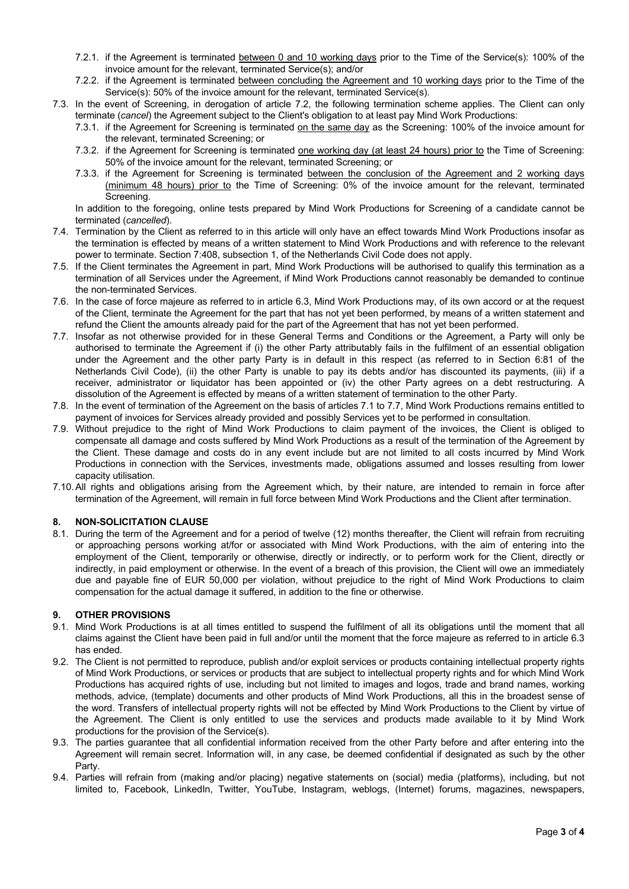- 7.2.1. if the Agreement is terminated between 0 and 10 working days prior to the Time of the Service(s): 100% of the invoice amount for the relevant, terminated Service(s); and/or
- 7.2.2. if the Agreement is terminated between concluding the Agreement and 10 working days prior to the Time of the Service(s): 50% of the invoice amount for the relevant, terminated Service(s).
- 7.3. In the event of Screening, in derogation of article 7.2, the following termination scheme applies. The Client can only terminate (*cancel*) the Agreement subject to the Client's obligation to at least pay Mind Work Productions:
	- 7.3.1. if the Agreement for Screening is terminated on the same day as the Screening: 100% of the invoice amount for the relevant, terminated Screening; or
	- 7.3.2. if the Agreement for Screening is terminated one working day (at least 24 hours) prior to the Time of Screening: 50% of the invoice amount for the relevant, terminated Screening; or
	- 7.3.3. if the Agreement for Screening is terminated between the conclusion of the Agreement and 2 working days (minimum 48 hours) prior to the Time of Screening: 0% of the invoice amount for the relevant, terminated Screening.

In addition to the foregoing, online tests prepared by Mind Work Productions for Screening of a candidate cannot be terminated (*cancelled*).

- 7.4. Termination by the Client as referred to in this article will only have an effect towards Mind Work Productions insofar as the termination is effected by means of a written statement to Mind Work Productions and with reference to the relevant power to terminate. Section 7:408, subsection 1, of the Netherlands Civil Code does not apply.
- 7.5. If the Client terminates the Agreement in part, Mind Work Productions will be authorised to qualify this termination as a termination of all Services under the Agreement, if Mind Work Productions cannot reasonably be demanded to continue the non-terminated Services.
- 7.6. In the case of force majeure as referred to in article 6.3, Mind Work Productions may, of its own accord or at the request of the Client, terminate the Agreement for the part that has not yet been performed, by means of a written statement and refund the Client the amounts already paid for the part of the Agreement that has not yet been performed.
- 7.7. Insofar as not otherwise provided for in these General Terms and Conditions or the Agreement, a Party will only be authorised to terminate the Agreement if (i) the other Party attributably fails in the fulfilment of an essential obligation under the Agreement and the other party Party is in default in this respect (as referred to in Section 6:81 of the Netherlands Civil Code), (ii) the other Party is unable to pay its debts and/or has discounted its payments, (iii) if a receiver, administrator or liquidator has been appointed or (iv) the other Party agrees on a debt restructuring. A dissolution of the Agreement is effected by means of a written statement of termination to the other Party.
- 7.8. In the event of termination of the Agreement on the basis of articles 7.1 to 7.7, Mind Work Productions remains entitled to payment of invoices for Services already provided and possibly Services yet to be performed in consultation.
- 7.9. Without prejudice to the right of Mind Work Productions to claim payment of the invoices, the Client is obliged to compensate all damage and costs suffered by Mind Work Productions as a result of the termination of the Agreement by the Client. These damage and costs do in any event include but are not limited to all costs incurred by Mind Work Productions in connection with the Services, investments made, obligations assumed and losses resulting from lower capacity utilisation.
- 7.10.All rights and obligations arising from the Agreement which, by their nature, are intended to remain in force after termination of the Agreement, will remain in full force between Mind Work Productions and the Client after termination.

## **8. NON-SOLICITATION CLAUSE**

8.1. During the term of the Agreement and for a period of twelve (12) months thereafter, the Client will refrain from recruiting or approaching persons working at/for or associated with Mind Work Productions, with the aim of entering into the employment of the Client, temporarily or otherwise, directly or indirectly, or to perform work for the Client, directly or indirectly, in paid employment or otherwise. In the event of a breach of this provision, the Client will owe an immediately due and payable fine of EUR 50,000 per violation, without prejudice to the right of Mind Work Productions to claim compensation for the actual damage it suffered, in addition to the fine or otherwise.

## **9. OTHER PROVISIONS**

- 9.1. Mind Work Productions is at all times entitled to suspend the fulfilment of all its obligations until the moment that all claims against the Client have been paid in full and/or until the moment that the force majeure as referred to in article 6.3 has ended.
- 9.2. The Client is not permitted to reproduce, publish and/or exploit services or products containing intellectual property rights of Mind Work Productions, or services or products that are subject to intellectual property rights and for which Mind Work Productions has acquired rights of use, including but not limited to images and logos, trade and brand names, working methods, advice, (template) documents and other products of Mind Work Productions, all this in the broadest sense of the word. Transfers of intellectual property rights will not be effected by Mind Work Productions to the Client by virtue of the Agreement. The Client is only entitled to use the services and products made available to it by Mind Work productions for the provision of the Service(s).
- 9.3. The parties guarantee that all confidential information received from the other Party before and after entering into the Agreement will remain secret. Information will, in any case, be deemed confidential if designated as such by the other Party.
- 9.4. Parties will refrain from (making and/or placing) negative statements on (social) media (platforms), including, but not limited to, Facebook, LinkedIn, Twitter, YouTube, Instagram, weblogs, (Internet) forums, magazines, newspapers,